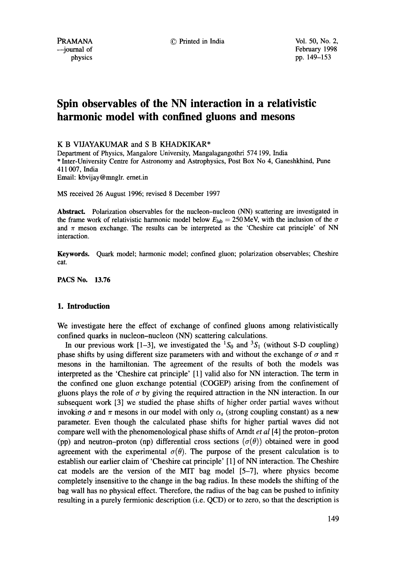PRAMANA **C** Printed in India Vol. 50, No. 2,

 $-$ journal of February 1998 physics pp. 149-153

# **Spin observables of the NN interaction in a relativistic harmonic model with confined gluons and mesons**

K B VIJAYAKUMAR and S B KHADKIKAR\*

Department of Physics, Mangalore University, Mangalagangothri 574 199, India \* Inter-University Centre for Astronomy and Astrophysics, Post Box No 4, Ganeshkhind, Pune 411007, India Email: kbvijay@mnglr, ernet.in

MS received 26 August 1996; revised 8 December 1997

Abstract. Polarization observables for the nucleon-nucleon (NN) scattering are investigated in the frame work of relativistic harmonic model below  $E_{\text{lab}} = 250 \text{ MeV}$ , with the inclusion of the  $\sigma$ and  $\pi$  meson exchange. The results can be interpreted as the 'Cheshire cat principle' of NN interaction.

**Keywords.** Quark model; harmonic model; confined gluon; polarization observables; Cheshire cat.

PACS No. 13.76

## **1. Introduction**

We investigate here the effect of exchange of confined gluons among relativistically confined quarks in nucleon-nucleon (NN) scattering calculations.

In our previous work [1-3], we investigated the  ${}^{1}S_{0}$  and  ${}^{3}S_{1}$  (without S-D coupling) phase shifts by using different size parameters with and without the exchange of  $\sigma$  and  $\pi$ mesons in the hamiltonian. The agreement of the results of both the models was interpreted as the 'Cheshire cat principle' [1] valid also for NN interaction. The term in the confined one gluon exchange potential (COGEP) arising from the confinement of gluons plays the role of  $\sigma$  by giving the required attraction in the NN interaction. In our subsequent work [3] we studied the phase shifts of higher order partial waves without invoking  $\sigma$  and  $\pi$  mesons in our model with only  $\alpha_s$  (strong coupling constant) as a new parameter. Even though the calculated phase shifts for higher partial waves did not compare well with the phenomenological phase shifts of Arndt *et al* [4] the proton-proton (pp) and neutron-proton (np) differential cross sections ( $\sigma(\theta)$ ) obtained were in good agreement with the experimental  $\sigma(\theta)$ . The purpose of the present calculation is to establish our earlier claim of 'Cheshire cat principle' [1] of NN interaction. The Cheshire cat models are the version of the MIT bag model [5-7], where physics become completely insensitive to the change in the bag radius. In these models the shifting of the bag wall has no physical effect. Therefore, the radius of the bag can be pushed to infinity resulting in a purely fermionic description (i.e. QCD) or to zero, so that the description is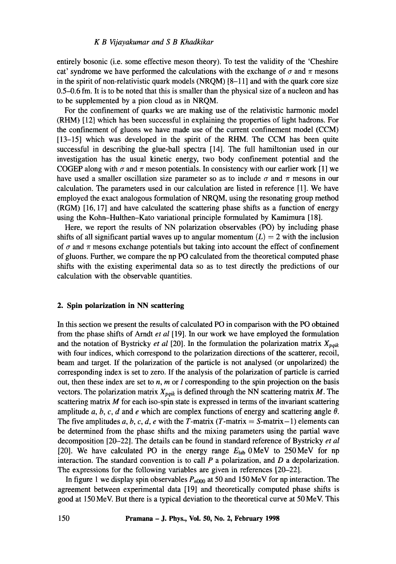#### *K B Vijayakumar and S B Khadkikar*

entirely bosonic (i.e. some effective meson theory). To test the validity of the 'Cheshire cat' syndrome we have performed the calculations with the exchange of  $\sigma$  and  $\pi$  mesons in the spirit of non-relativistic quark models (NRQM) [8-11] and with the quark core size 0.5-0.6 fm. It is to be noted that this is smaller than the physical size of a nucleon and has to be supplemented by a pion cloud as in NRQM.

For the confinement of quarks we are making use of the relativistic harmonic model (RHM) [12] which has been successful in explaining the properties of light hadrons. For the confinement of gluons we have made use of the current confinement model (CCM) [13-15] which was developed in the spirit of the RHM. The CCM has been quite successful in describing the glue-ball spectra [14]. The full hamiltonian used in our investigation has the usual kinetic energy, two body confinement potential and the COGEP along with  $\sigma$  and  $\pi$  meson potentials. In consistency with our earlier work [1] we have used a smaller oscillation size parameter so as to include  $\sigma$  and  $\pi$  mesons in our calculation. The parameters used in our calculation are listed in reference [1]. We have employed the exact analogous formulation of NRQM, using the resonating group method (RGM) [16, 17] and have calculated the scattering phase shifts as a function of energy using the Kohn-Hulthen-Kato variational principle formulated by Kamimura [18].

Here, we report the results of NN polarization observables (PO) by including phase shifts of all significant partial waves up to angular momentum  $(L) = 2$  with the inclusion of  $\sigma$  and  $\pi$  mesons exchange potentials but taking into account the effect of confinement of gluons. Further, we compare the np PO calculated from the theoretical computed phase shifts with the existing experimental data so as to test directly the predictions of our calculation with the observable quantities.

# **2. Spin polarization in NN scattering**

In this section we present the results of calculated PO in comparison with the PO obtained from the phase shifts of Arndt *et al* [19]. In our work we have employed the formulation and the notation of Bystricky *et al* [20]. In the formulation the polarization matrix  $X_{\text{p}qik}$ with four indices, which correspond to the polarization directions of the scatterer, recoil, beam and target. If the polarization of the particle is not analysed (or unpolarized) the corresponding index is set to zero. If the analysis of the polarization of particle is carried out, then these index are set to  $n$ ,  $m$  or  $l$  corresponding to the spin projection on the basis vectors. The polarization matrix  $X_{pqik}$  is defined through the NN scattering matrix M. The scattering matrix  $M$  for each iso-spin state is expressed in terms of the invariant scattering amplitude a, b, c, d and e which are complex functions of energy and scattering angle  $\theta$ . The five amplitudes a, b, c, d, e with the T-matrix (T-matrix  $= S$ -matrix $-1$ ) elements can be determined from the phase shifts and the mixing parameters using the partial wave decomposition [20-22]. The details can be found in standard reference of Bystricky *et al*  [20]. We have calculated PO in the energy range  $E_{lab}$  0MeV to 250MeV for np interaction. The standard convention is to call  $P$  a polarization, and  $D$  a depolarization. The expressions for the following variables are given in references [20-22].

In figure 1 we display spin observables  $P_{n000}$  at 50 and 150 MeV for np interaction. The agreement between experimental data [19] and theoretically computed phase shifts is good at 150 MeV. But there is a typical deviation to the theoretical curve at 50 MeV. This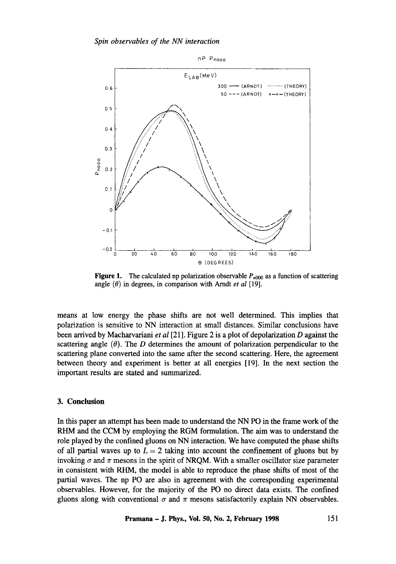

**Figure 1.** The calculated np polarization observable  $P_{n000}$  as a function of scattering angle  $(\theta)$  in degrees, in comparison with Arndt *et al* [19].

means at low energy the phase shifts are not well determined. This implies that polarization is sensitive to NN interaction at small distances. Similar conclusions have been arrived by Macharvariani *et al* [21]. Figure 2 is a plot of depolarization D against the scattering angle  $(\theta)$ . The *D* determines the amount of polarization perpendicular to the scattering plane converted into the same after the second scattering. Here, the agreement between theory and experiment is better at all energies [19]. In the next section the important results are stated and summarized.

# **3. Conclusion**

In this paper an attempt has been made to understand the NN PO in the frame work of the RHM and the CCM by employing the RGM formulation. The aim was to understand the role played by the confined gluons on NN interaction. We have computed the phase shifts of all partial waves up to  $L = 2$  taking into account the confinement of gluons but by invoking  $\sigma$  and  $\pi$  mesons in the spirit of NRQM. With a smaller oscillator size parameter in consistent with RHM, the model is able to reproduce the phase shifts of most of the partial waves. The np PO are also in agreement with the corresponding experimental observables. However, for the majority of the PO no direct data exists. The confined gluons along with conventional  $\sigma$  and  $\pi$  mesons satisfactorily explain NN observables.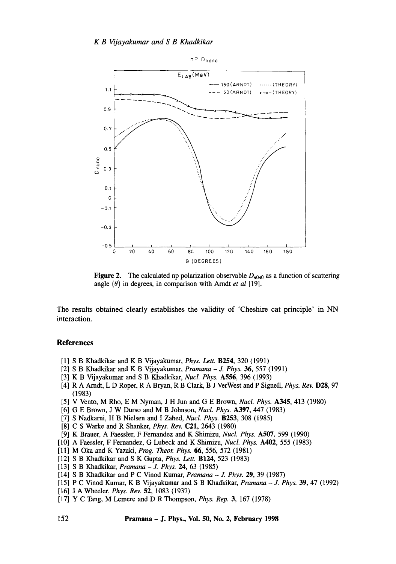

**Figure 2.** The calculated np polarization observable  $D_{n0n0}$  as a function of scattering angle  $(\theta)$  in degrees, in comparison with Arndt *et al* [19].

The results obtained clearly establishes the validity of 'Cheshire cat principle' in NN interaction.

#### **References**

- [1] S B Khadkikar and K B Vijayakumar, *Phys. Left.* B254, 320 (1991)
- [2] S B Khadkikar and K B Vijayakumar, *Pramana J. Phys.* 36, 557 (1991)
- [3] K B Vijayakumar and S B Khadkikar, *Nucl. Phys.* **A556**, 396 (1993)
- [4] R A Arndt, L D Roper, R A Bryan, R B Clark, B J VerWest and P Signell, *Phys. Rev.* D28, 97 (1983)
- [5] V Vento, M Rho, E M Nyman, J H Jun and G E Brown, *Nucl. Phys.* A345, 413 (1980)
- [6] G E Brown, J W Durso and M B Johnson, *Nucl. Phys.* A397, 447 (1983)
- [7] S Nadkarni, H B Nielsen and I Zahed, *Nucl. Phys.* B253, 308 (1985)
- [8] C S Warke and R Shanker, *Phys. Rev.* C21, 2643 (1980)
- [9] K Brauer, A Faessler, F Fernandez and K Shimizu, *Nucl. Phys.* A507, 599 (1990)
- [10] A Faessler, F Fernandez, G Lubeck and K Shimizu, *Nucl. Phys.* A402, 555 (1983)
- [11] M Oka and K Yazaki, *Prog. Theor. Phys.* 66, 556, 572 (1981)
- [12] S B Khadkikar and S K Gupta, *Phys. Lett.* B124, 523 (1983)
- [13] S B Khadkikar, *Pramana J. Phys. 24,* 63 (1985)
- [14] S B Khadkikar and P C Vinod Kumar, *Pramana J. Phys.* 29, 39 (1987)
- [15] P C Vinod Kumar, K B Vijayakumar and S B Khadkikar, *Pramana J. Phys.* 39, 47 (1992)
- [16] J A Wheeler, *Phys. Rev.* 52, 1083 (1937)
- [17] Y C Tang, M Lemere and D R Thompson, *Phys. Rep.* 3, 167 (1978)